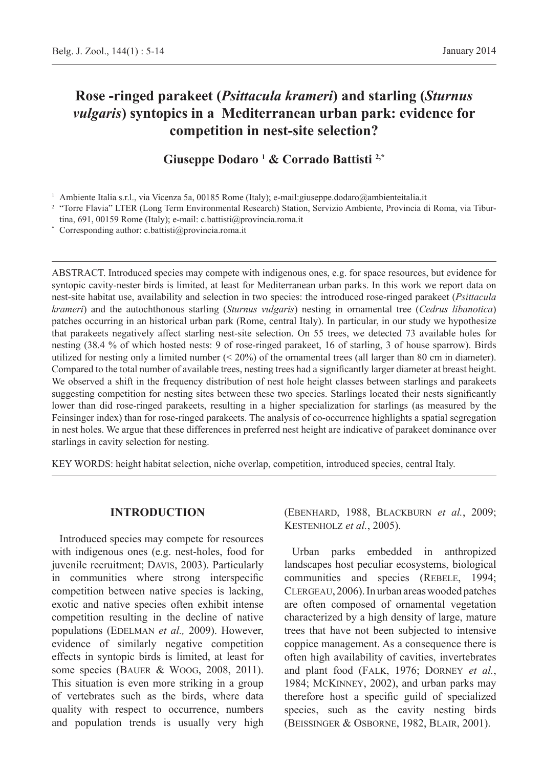# **Rose -ringed parakeet (***Psittacula krameri***) and starling (***Sturnus vulgaris***) syntopics in a Mediterranean urban park: evidence for competition in nest-site selection?**

# **Giuseppe Dodaro 1 & Corrado Battisti 2,\***

<sup>1</sup> Ambiente Italia s.r.l., via Vicenza 5a, 00185 Rome (Italy); e-mail:giuseppe.dodaro@ambienteitalia.it

<sup>2</sup> "Torre Flavia" LTER (Long Term Environmental Research) Station, Servizio Ambiente, Provincia di Roma, via Tiburtina, 691, 00159 Rome (Italy); e-mail: c.battisti@provincia.roma.it

\* Corresponding author: c.battisti@provincia.roma.it

ABSTRACT. Introduced species may compete with indigenous ones, e.g. for space resources, but evidence for syntopic cavity-nester birds is limited, at least for Mediterranean urban parks. In this work we report data on nest-site habitat use, availability and selection in two species: the introduced rose-ringed parakeet (*Psittacula krameri*) and the autochthonous starling (*Sturnus vulgaris*) nesting in ornamental tree (*Cedrus libanotica*) patches occurring in an historical urban park (Rome, central Italy). In particular, in our study we hypothesize that parakeets negatively affect starling nest-site selection. On 55 trees, we detected 73 available holes for nesting (38.4 % of which hosted nests: 9 of rose-ringed parakeet, 16 of starling, 3 of house sparrow). Birds utilized for nesting only a limited number (< 20%) of the ornamental trees (all larger than 80 cm in diameter). Compared to the total number of available trees, nesting trees had a significantly larger diameter at breast height. We observed a shift in the frequency distribution of nest hole height classes between starlings and parakeets suggesting competition for nesting sites between these two species. Starlings located their nests significantly lower than did rose-ringed parakeets, resulting in a higher specialization for starlings (as measured by the Feinsinger index) than for rose-ringed parakeets. The analysis of co-occurrence highlights a spatial segregation in nest holes. We argue that these differences in preferred nest height are indicative of parakeet dominance over starlings in cavity selection for nesting.

KEY WORDS: height habitat selection, niche overlap, competition, introduced species, central Italy.

#### **INTRODUCTION**

Introduced species may compete for resources with indigenous ones (e.g. nest-holes, food for juvenile recruitment; Davis, 2003). Particularly in communities where strong interspecific competition between native species is lacking, exotic and native species often exhibit intense competition resulting in the decline of native populations (EDELMAN et al., 2009). However, evidence of similarly negative competition effects in syntopic birds is limited, at least for some species (BAUER & WOOG, 2008, 2011). This situation is even more striking in a group of vertebrates such as the birds, where data quality with respect to occurrence, numbers and population trends is usually very high (Ebenhard, 1988, Blackburn *et al.*, 2009; Kestenholz *et al.*, 2005).

Urban parks embedded in anthropized landscapes host peculiar ecosystems, biological communities and species (REBELE, 1994; Clergeau, 2006). In urban areas wooded patches are often composed of ornamental vegetation characterized by a high density of large, mature trees that have not been subjected to intensive coppice management. As a consequence there is often high availability of cavities, invertebrates and plant food (Falk, 1976; Dorney *et al.*, 1984; McKinney, 2002), and urban parks may therefore host a specific guild of specialized species, such as the cavity nesting birds (Beissinger & Osborne, 1982, Blair, 2001).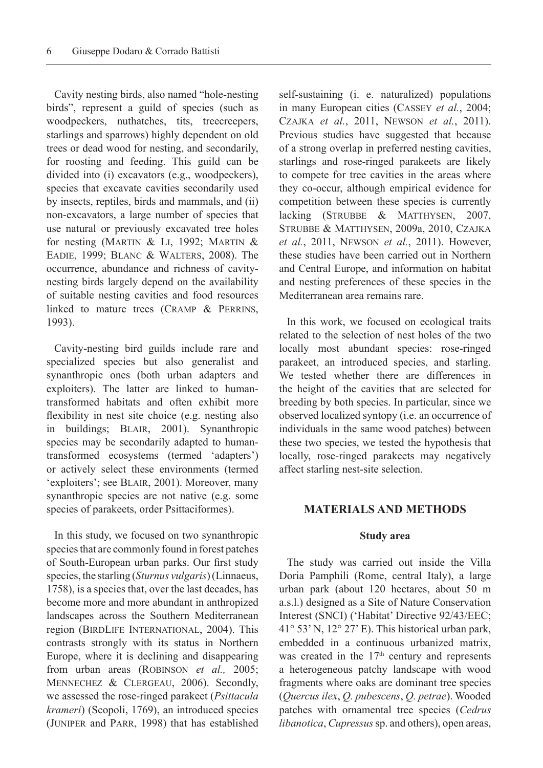Cavity nesting birds, also named "hole-nesting birds", represent a guild of species (such as woodpeckers, nuthatches, tits, treecreepers, starlings and sparrows) highly dependent on old trees or dead wood for nesting, and secondarily, for roosting and feeding. This guild can be divided into (i) excavators (e.g., woodpeckers), species that excavate cavities secondarily used by insects, reptiles, birds and mammals, and (ii) non-excavators, a large number of species that use natural or previously excavated tree holes for nesting (Martin & Li, 1992; Martin & Eadie, 1999; Blanc & Walters, 2008). The occurrence, abundance and richness of cavitynesting birds largely depend on the availability of suitable nesting cavities and food resources linked to mature trees (CRAMP & PERRINS, 1993).

Cavity-nesting bird guilds include rare and specialized species but also generalist and synanthropic ones (both urban adapters and exploiters). The latter are linked to humantransformed habitats and often exhibit more flexibility in nest site choice (e.g. nesting also in buildings; BLAIR, 2001). Synanthropic species may be secondarily adapted to humantransformed ecosystems (termed 'adapters') or actively select these environments (termed 'exploiters'; see BLAIR, 2001). Moreover, many synanthropic species are not native (e.g. some species of parakeets, order Psittaciformes).

In this study, we focused on two synanthropic species that are commonly found in forest patches of South-European urban parks. Our first study species, the starling (*Sturnus vulgaris*) (Linnaeus, 1758), is a species that, over the last decades, has become more and more abundant in anthropized landscapes across the Southern Mediterranean region (BirdLife International, 2004). This contrasts strongly with its status in Northern Europe, where it is declining and disappearing from urban areas (Robinson *et al.,* 2005; MENNECHEZ & CLERGEAU, 2006). Secondly, we assessed the rose-ringed parakeet (*Psittacula krameri*) (Scopoli, 1769), an introduced species (Juniper and Parr, 1998) that has established

self-sustaining (i. e. naturalized) populations in many European cities (Cassey *et al.*, 2004; Czajka *et al.*, 2011, Newson *et al.*, 2011). Previous studies have suggested that because of a strong overlap in preferred nesting cavities, starlings and rose-ringed parakeets are likely to compete for tree cavities in the areas where they co-occur, although empirical evidence for competition between these species is currently lacking (STRUBBE & MATTHYSEN, 2007, Strubbe & Matthysen, 2009a, 2010, Czajka *et al.*, 2011, Newson *et al.*, 2011). However, these studies have been carried out in Northern and Central Europe, and information on habitat and nesting preferences of these species in the Mediterranean area remains rare.

In this work, we focused on ecological traits related to the selection of nest holes of the two locally most abundant species: rose-ringed parakeet, an introduced species, and starling. We tested whether there are differences in the height of the cavities that are selected for breeding by both species. In particular, since we observed localized syntopy (i.e. an occurrence of individuals in the same wood patches) between these two species, we tested the hypothesis that locally, rose-ringed parakeets may negatively affect starling nest-site selection.

#### **MATERIALS AND METHODS**

#### **Study area**

The study was carried out inside the Villa Doria Pamphili (Rome, central Italy), a large urban park (about 120 hectares, about 50 m a.s.l.) designed as a Site of Nature Conservation Interest (SNCI) ('Habitat' Directive 92/43/EEC; 41° 53' N, 12° 27' E). This historical urban park, embedded in a continuous urbanized matrix, was created in the  $17<sup>th</sup>$  century and represents a heterogeneous patchy landscape with wood fragments where oaks are dominant tree species (*Quercus ilex*, *Q. pubescens*, *Q. petrae*). Wooded patches with ornamental tree species (*Cedrus libanotica*, *Cupressus* sp. and others), open areas,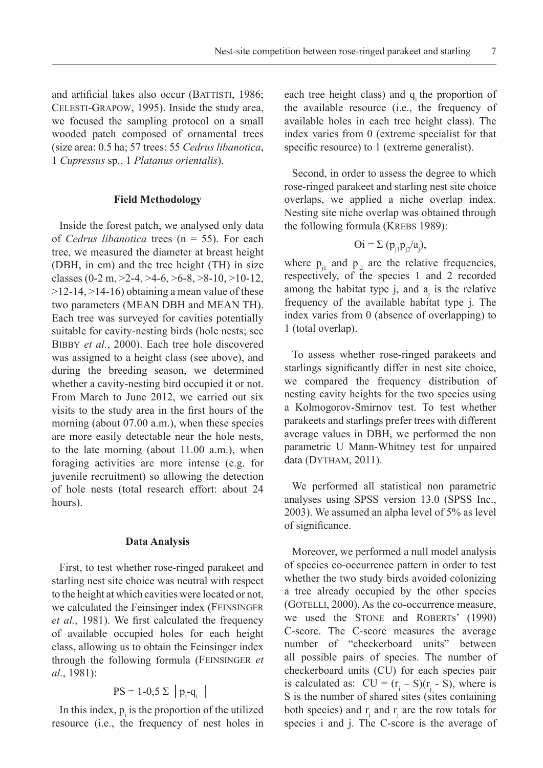and artificial lakes also occur (BATTISTI, 1986; Celesti-Grapow, 1995). Inside the study area, we focused the sampling protocol on a small wooded patch composed of ornamental trees (size area: 0.5 ha; 57 trees: 55 *Cedrus libanotica*, 1 *Cupressus* sp., 1 *Platanus orientalis*).

#### **Field Methodology**

Inside the forest patch, we analysed only data of *Cedrus libanotica* trees (n = 55). For each tree, we measured the diameter at breast height (DBH, in cm) and the tree height (TH) in size classes (0-2 m,  $>2-4$ ,  $>4-6$ ,  $>6-8$ ,  $>8-10$ ,  $>10-12$ ,  $>12-14, >14-16$ ) obtaining a mean value of these two parameters (MEAN DBH and MEAN TH). Each tree was surveyed for cavities potentially suitable for cavity-nesting birds (hole nests; see Bibby *et al.*, 2000). Each tree hole discovered was assigned to a height class (see above), and during the breeding season, we determined whether a cavity-nesting bird occupied it or not. From March to June 2012, we carried out six visits to the study area in the first hours of the morning (about 07.00 a.m.), when these species are more easily detectable near the hole nests, to the late morning (about 11.00 a.m.), when foraging activities are more intense (e.g. for juvenile recruitment) so allowing the detection of hole nests (total research effort: about 24 hours).

#### **Data Analysis**

First, to test whether rose-ringed parakeet and starling nest site choice was neutral with respect to the height at which cavities were located or not, we calculated the Feinsinger index (Feinsinger *et al.*, 1981). We first calculated the frequency of available occupied holes for each height class, allowing us to obtain the Feinsinger index through the following formula (Feinsinger *et al.*, 1981):

# $PS = 1-0.5 \sum |p_i - q_i|$

In this index,  $p_i$  is the proportion of the utilized resource (i.e., the frequency of nest holes in

each tree height class) and q the proportion of the available resource (i.e., the frequency of available holes in each tree height class). The index varies from 0 (extreme specialist for that specific resource) to 1 (extreme generalist).

Second, in order to assess the degree to which rose-ringed parakeet and starling nest site choice overlaps, we applied a niche overlap index. Nesting site niche overlap was obtained through the following formula (KREBS 1989):

$$
Oi = \sum (p_{j1}p_{j2}/a_j),
$$

where  $p_{i1}$  and  $p_{i2}$  are the relative frequencies, respectively, of the species 1 and 2 recorded among the habitat type j, and  $a_j$  is the relative frequency of the available habitat type j. The index varies from 0 (absence of overlapping) to 1 (total overlap).

To assess whether rose-ringed parakeets and starlings significantly differ in nest site choice, we compared the frequency distribution of nesting cavity heights for the two species using a Kolmogorov-Smirnov test. To test whether parakeets and starlings prefer trees with different average values in DBH, we performed the non parametric U Mann-Whitney test for unpaired data (Dytham, 2011).

We performed all statistical non parametric analyses using SPSS version 13.0 (SPSS Inc., 2003). We assumed an alpha level of 5% as level of significance.

Moreover, we performed a null model analysis of species co-occurrence pattern in order to test whether the two study birds avoided colonizing a tree already occupied by the other species (GOTELLI, 2000). As the co-occurrence measure, we used the STONE and ROBERTS' (1990) C-score. The C-score measures the average number of "checkerboard units" between all possible pairs of species. The number of checkerboard units (CU) for each species pair is calculated as:  $CU = (r_i - S)(r_j - S)$ , where is S is the number of shared sites (sites containing both species) and  $r_i$  and  $r_j$  are the row totals for species i and j. The C-score is the average of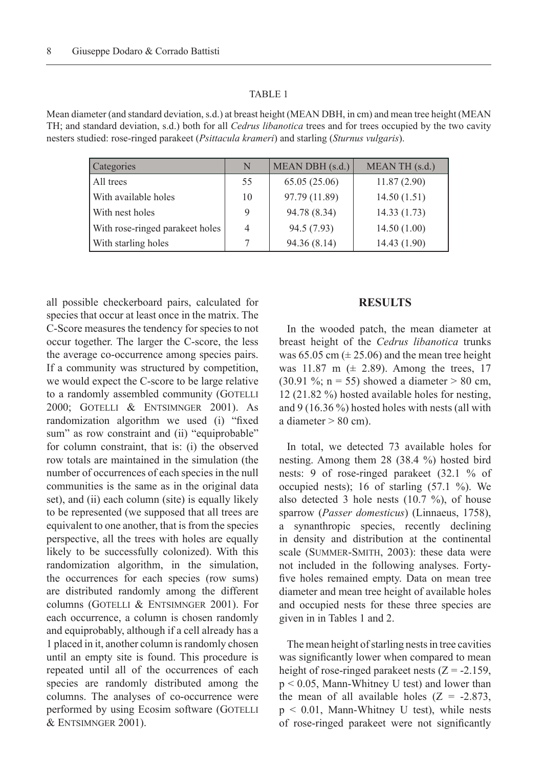#### TABLE 1

Mean diameter (and standard deviation, s.d.) at breast height (MEAN DBH, in cm) and mean tree height (MEAN TH; and standard deviation, s.d.) both for all *Cedrus libanotica* trees and for trees occupied by the two cavity nesters studied: rose-ringed parakeet (*Psittacula krameri*) and starling (*Sturnus vulgaris*).

| Categories                      | N              | MEAN DBH (s.d.) | MEAN TH (s.d.) |
|---------------------------------|----------------|-----------------|----------------|
| All trees                       | 55             | 65.05(25.06)    | 11.87(2.90)    |
| With available holes            | 10             | 97.79 (11.89)   | 14.50(1.51)    |
| With nest holes                 | 9              | 94.78 (8.34)    | 14.33(1.73)    |
| With rose-ringed parakeet holes | $\overline{4}$ | 94.5 (7.93)     | 14.50(1.00)    |
| With starling holes             |                | 94.36 (8.14)    | 14.43 (1.90)   |

all possible checkerboard pairs, calculated for species that occur at least once in the matrix. The C-Score measures the tendency for species to not occur together. The larger the C-score, the less the average co-occurrence among species pairs. If a community was structured by competition, we would expect the C-score to be large relative to a randomly assembled community (GOTELLI 2000; Gotelli & Entsimnger 2001). As randomization algorithm we used (i) "fixed sum" as row constraint and (ii) "equiprobable" for column constraint, that is: (i) the observed row totals are maintained in the simulation (the number of occurrences of each species in the null communities is the same as in the original data set), and (ii) each column (site) is equally likely to be represented (we supposed that all trees are equivalent to one another, that is from the species perspective, all the trees with holes are equally likely to be successfully colonized). With this randomization algorithm, in the simulation, the occurrences for each species (row sums) are distributed randomly among the different columns (GOTELLI & ENTSIMNGER 2001). For each occurrence, a column is chosen randomly and equiprobably, although if a cell already has a 1 placed in it, another column is randomly chosen until an empty site is found. This procedure is repeated until all of the occurrences of each species are randomly distributed among the columns. The analyses of co-occurrence were performed by using Ecosim software (GOTELLI & Entsimnger 2001).

### **RESULTS**

In the wooded patch, the mean diameter at breast height of the *Cedrus libanotica* trunks was 65.05 cm  $(\pm 25.06)$  and the mean tree height was 11.87 m  $(\pm 2.89)$ . Among the trees, 17 (30.91 %; n = 55) showed a diameter > 80 cm, 12 (21.82 %) hosted available holes for nesting, and 9 (16.36 %) hosted holes with nests (all with a diameter  $> 80$  cm).

In total, we detected 73 available holes for nesting. Among them 28 (38.4 %) hosted bird nests: 9 of rose-ringed parakeet (32.1 % of occupied nests); 16 of starling  $(57.1 \text{ %})$ . We also detected 3 hole nests (10.7 %), of house sparrow (*Passer domesticus*) (Linnaeus, 1758), a synanthropic species, recently declining in density and distribution at the continental scale (SUMMER-SMITH, 2003): these data were not included in the following analyses. Fortyfive holes remained empty. Data on mean tree diameter and mean tree height of available holes and occupied nests for these three species are given in in Tables 1 and 2.

The mean height of starling nests in tree cavities was significantly lower when compared to mean height of rose-ringed parakeet nests  $(Z = -2.159)$ ,  $p \le 0.05$ , Mann-Whitney U test) and lower than the mean of all available holes  $(Z = -2.873)$ ,  $p \le 0.01$ , Mann-Whitney U test), while nests of rose-ringed parakeet were not significantly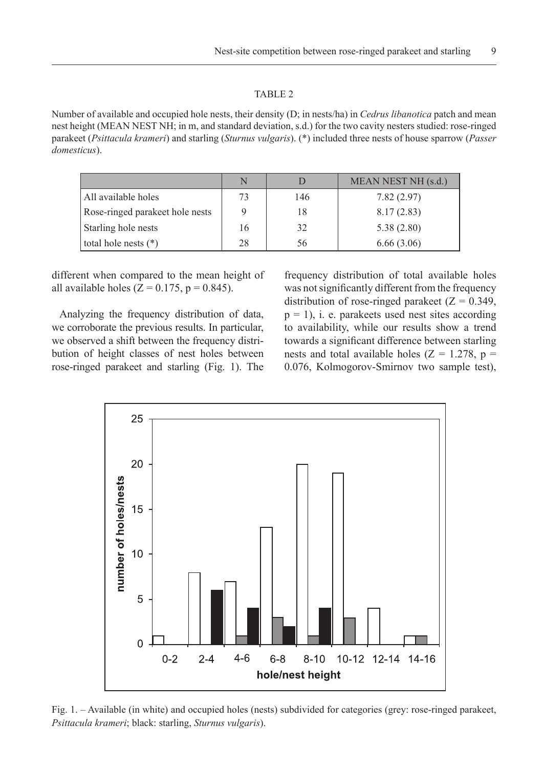#### TABLE 2

Number of available and occupied hole nests, their density (D; in nests/ha) in *Cedrus libanotica* patch and mean nest height (MEAN NEST NH; in m, and standard deviation, s.d.) for the two cavity nesters studied: rose-ringed parakeet (*Psittacula krameri*) and starling (*Sturnus vulgaris*). (\*) included three nests of house sparrow (*Passer domesticus*).

|                                 | N  |     | MEAN NEST NH (s.d.) |
|---------------------------------|----|-----|---------------------|
| All available holes             | 73 | 146 | 7.82(2.97)          |
| Rose-ringed parakeet hole nests |    | 18  | 8.17(2.83)          |
| Starling hole nests             | 16 | 32  | 5.38(2.80)          |
| total hole nests $(*)$          | 28 | 56  | 6.66(3.06)          |

different when compared to the mean height of all available holes ( $Z = 0.175$ ,  $p = 0.845$ ).

Analyzing the frequency distribution of data, we corroborate the previous results. In particular, we observed a shift between the frequency distribution of height classes of nest holes between rose-ringed parakeet and starling (Fig. 1). The frequency distribution of total available holes was not significantly different from the frequency distribution of rose-ringed parakeet  $(Z = 0.349)$ ,  $p = 1$ ), i. e. parakeets used nest sites according to availability, while our results show a trend towards a significant difference between starling nests and total available holes ( $Z = 1.278$ ,  $p =$ 0.076, Kolmogorov-Smirnov two sample test),



Fig. 1. – Available (in white) and occupied holes (nests) subdivided for categories (grey: rose-ringed parakeet, *Psittacula krameri*; black: starling, *Sturnus vulgaris*).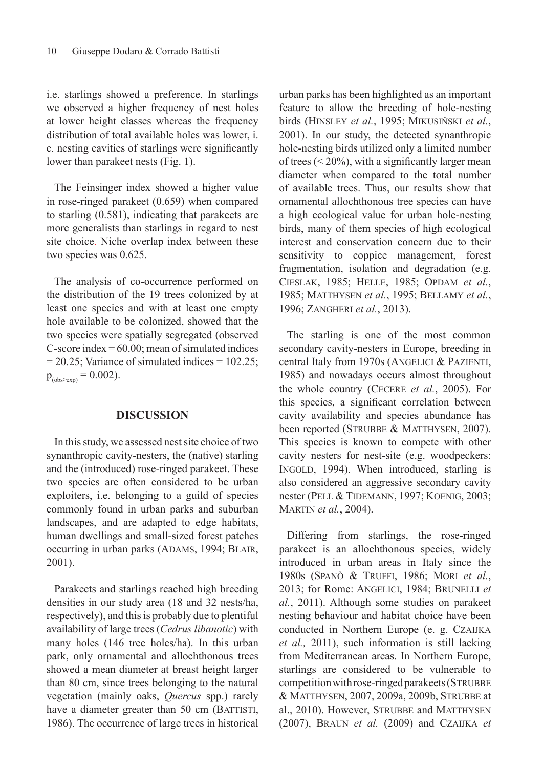i.e. starlings showed a preference. In starlings we observed a higher frequency of nest holes at lower height classes whereas the frequency distribution of total available holes was lower, i. e. nesting cavities of starlings were significantly lower than parakeet nests (Fig. 1).

The Feinsinger index showed a higher value in rose-ringed parakeet (0.659) when compared to starling (0.581), indicating that parakeets are more generalists than starlings in regard to nest site choice. Niche overlap index between these two species was 0.625.

The analysis of co-occurrence performed on the distribution of the 19 trees colonized by at least one species and with at least one empty hole available to be colonized, showed that the two species were spatially segregated (observed C-score index  $= 60.00$ ; mean of simulated indices  $= 20.25$ ; Variance of simulated indices  $= 102.25$ ;  $p_{(obs\geq exp)} = 0.002$ ).

# **DISCUSSION**

In this study, we assessed nest site choice of two synanthropic cavity-nesters, the (native) starling and the (introduced) rose-ringed parakeet. These two species are often considered to be urban exploiters, i.e. belonging to a guild of species commonly found in urban parks and suburban landscapes, and are adapted to edge habitats, human dwellings and small-sized forest patches occurring in urban parks (ADAMS, 1994; BLAIR, 2001).

Parakeets and starlings reached high breeding densities in our study area (18 and 32 nests/ha, respectively), and this is probably due to plentiful availability of large trees (*Cedrus libanotic*) with many holes (146 tree holes/ha). In this urban park, only ornamental and allochthonous trees showed a mean diameter at breast height larger than 80 cm, since trees belonging to the natural vegetation (mainly oaks, *Quercus* spp.) rarely have a diameter greater than 50 cm (BATTISTI, 1986). The occurrence of large trees in historical

urban parks has been highlighted as an important feature to allow the breeding of hole-nesting birds (Hinsley *et al.*, 1995; Mikusiňski *et al.*, 2001). In our study, the detected synanthropic hole-nesting birds utilized only a limited number of trees  $( $20\%$ ), with a significantly larger mean$ diameter when compared to the total number of available trees. Thus, our results show that ornamental allochthonous tree species can have a high ecological value for urban hole-nesting birds, many of them species of high ecological interest and conservation concern due to their sensitivity to coppice management, forest fragmentation, isolation and degradation (e.g. Cieslak, 1985; Helle, 1985; Opdam *et al.*, 1985; Matthysen *et al.*, 1995; Bellamy *et al.*, 1996; Zangheri *et al.*, 2013).

The starling is one of the most common secondary cavity-nesters in Europe, breeding in central Italy from 1970s (ANGELICI & PAZIENTI, 1985) and nowadays occurs almost throughout the whole country (Cecere *et al.*, 2005). For this species, a significant correlation between cavity availability and species abundance has been reported (STRUBBE & MATTHYSEN, 2007). This species is known to compete with other cavity nesters for nest-site (e.g. woodpeckers: INGOLD, 1994). When introduced, starling is also considered an aggressive secondary cavity nester (PELL & TIDEMANN, 1997; KOENIG, 2003; Martin *et al.*, 2004).

Differing from starlings, the rose-ringed parakeet is an allochthonous species, widely introduced in urban areas in Italy since the 1980s (Spanò & Truffi, 1986; Mori *et al.*, 2013; for Rome: Angelici, 1984; Brunelli *et al.*, 2011). Although some studies on parakeet nesting behaviour and habitat choice have been conducted in Northern Europe (e. g. Czaijka *et al.,* 2011), such information is still lacking from Mediterranean areas. In Northern Europe, starlings are considered to be vulnerable to competition with rose-ringed parakeets (STRUBBE & Matthysen, 2007, 2009a, 2009b, Strubbe at al., 2010). However, STRUBBE and MATTHYSEN [\(2007\)](http://onlinelibrary.wiley.com/doi/10.1111/j.1474-919X.2010.01085.x/full#b28), Braun *et al.* [\(2009\)](http://onlinelibrary.wiley.com/doi/10.1111/j.1474-919X.2010.01085.x/full#b5) and Czaijka *et*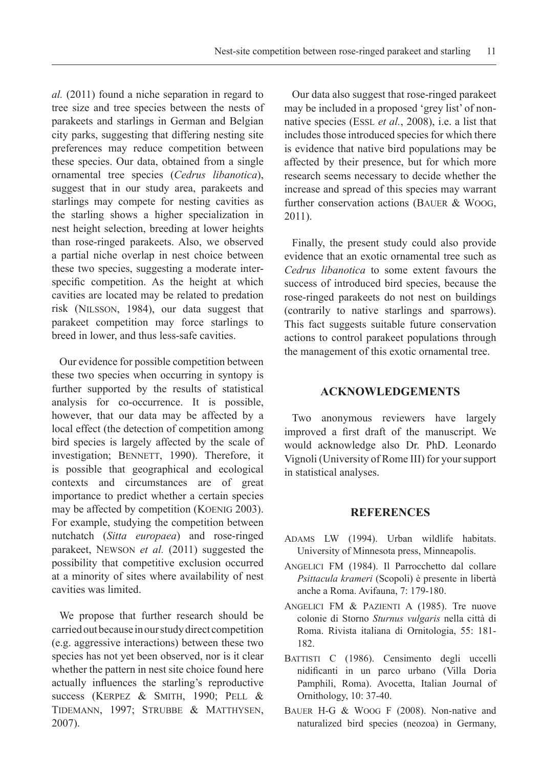*al.* (2011) found a niche separation in regard to tree size and tree species between the nests of parakeets and starlings in German and Belgian city parks, suggesting that differing nesting site preferences may reduce competition between these species. Our data, obtained from a single ornamental tree species (*Cedrus libanotica*), suggest that in our study area, parakeets and starlings may compete for nesting cavities as the starling shows a higher specialization in nest height selection, breeding at lower heights than rose-ringed parakeets. Also, we observed a partial niche overlap in nest choice between these two species, suggesting a moderate interspecific competition. As the height at which cavities are located may be related to predation risk (Nilsson, 1984), our data suggest that parakeet competition may force starlings to breed in lower, and thus less-safe cavities.

Our evidence for possible competition between these two species when occurring in syntopy is further supported by the results of statistical analysis for co-occurrence. It is possible, however, that our data may be affected by a local effect (the detection of competition among bird species is largely affected by the scale of investigation; BENNETT, 1990). Therefore, it is possible that geographical and ecological contexts and circumstances are of great importance to predict whether a certain species may be affected by competition (Koenig 2003). For example, studying the competition between nutchatch (*Sitta europaea*) and rose-ringed parakeet, Newson *et al.* (2011) suggested the possibility that competitive exclusion occurred at a minority of sites where availability of nest cavities was limited.

We propose that further research should be carried out because in our study direct competition (e.g. aggressive interactions) between these two species has not yet been observed, nor is it clear whether the pattern in nest site choice found here actually influences the starling's reproductive success (KERPEZ & SMITH, 1990; PELL & Tidemann, 1997; Strubbe & Matthysen, 2007).

Our data also suggest that rose-ringed parakeet may be included in a proposed 'grey list' of nonnative species (Essl *et al.*[, 2008\),](http://onlinelibrary.wiley.com/doi/10.1111/j.1474-919X.2010.01085.x/full#b10) i.e. a list that includes those introduced species for which there is evidence that native bird populations may be affected by their presence, but for which more research seems necessary to decide whether the increase and spread of this species may warrant further conservation actions (BAUER & WOOG, 2011).

Finally, the present study could also provide evidence that an exotic ornamental tree such as *Cedrus libanotica* to some extent favours the success of introduced bird species, because the rose-ringed parakeets do not nest on buildings (contrarily to native starlings and sparrows). This fact suggests suitable future conservation actions to control parakeet populations through the management of this exotic ornamental tree.

## **ACKNOWLEDGEMENTS**

Two anonymous reviewers have largely improved a first draft of the manuscript. We would acknowledge also Dr. PhD. Leonardo Vignoli (University of Rome III) for your support in statistical analyses.

## **REFERENCES**

- ADAMS LW (1994). Urban wildlife habitats. University of Minnesota press, Minneapolis.
- Angelici FM (1984). Il Parrocchetto dal collare *Psittacula krameri* (Scopoli) è presente in libertà anche a Roma. Avifauna, 7: 179-180.
- Angelici FM & Pazienti A (1985). Tre nuove colonie di Storno *Sturnus vulgaris* nella città di Roma. Rivista italiana di Ornitologia, 55: 181- 182.
- BATTISTI C (1986). Censimento degli uccelli nidificanti in un parco urbano (Villa Doria Pamphili, Roma). Avocetta, Italian Journal of Ornithology, 10: 37-40.
- BAUER H-G & WOOG F (2008). Non-native and naturalized bird species (neozoa) in Germany,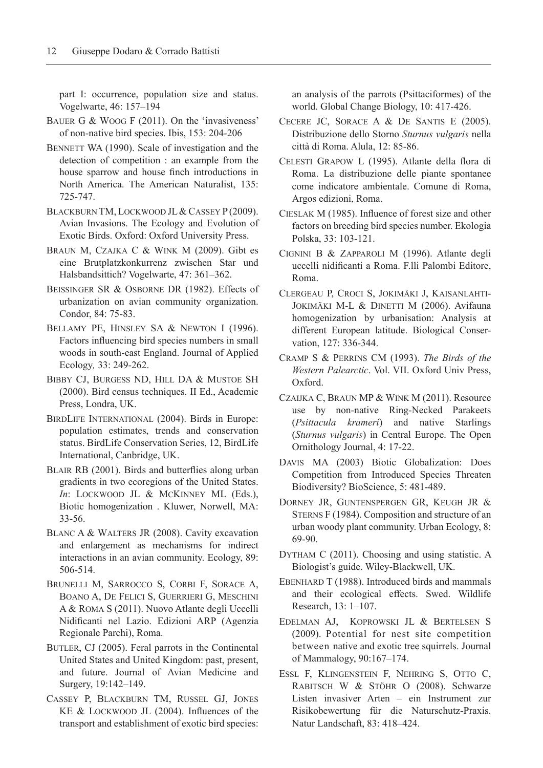part I: occurrence, population size and status. Vogelwarte, 46: 157–194

- BAUER G & WOOG F (2011). On the 'invasiveness' of non-native bird species. Ibis, 153: 204-206
- BENNETT WA (1990). Scale of investigation and the detection of competition : an example from the house sparrow and house finch introductions in North America. The American Naturalist, 135: 725-747.
- Blackburn TM, Lockwood JL & Cassey P (2009). Avian Invasions. The Ecology and Evolution of Exotic Birds. Oxford: Oxford University Press.
- Braun M, Czajka C & Wink M (2009). Gibt es eine Brutplatzkonkurrenz zwischen Star und Halsbandsittich? Vogelwarte, 47: 361–362.
- Beissinger SR & Osborne DR (1982). Effects of urbanization on avian community organization. Condor, 84: 75-83.
- Bellamy PE, Hinsley SA & Newton I (1996). Factors influencing bird species numbers in small woods in south-east England. Journal of Applied Ecology*,* 33: 249-262.
- Bibby CJ, Burgess ND, Hill DA & Mustoe SH (2000). Bird census techniques. II Ed., Academic Press, Londra, UK.
- BirdLife International (2004). Birds in Europe: population estimates, trends and conservation status. BirdLife Conservation Series, 12, BirdLife International, Canbridge, UK.
- BLAIR RB (2001). Birds and butterflies along urban gradients in two ecoregions of the United States. *In*: Lockwood JL & McKinney ML (Eds.), Biotic homogenization . Kluwer, Norwell, MA: 33-56.
- BLANC A & WALTERS JR (2008). Cavity excavation and enlargement as mechanisms for indirect interactions in an avian community. Ecology, 89: 506-514.
- Brunelli M, Sarrocco S, Corbi F, Sorace A, Boano A, De Felici S, Guerrieri G, Meschini A & Roma S (2011). Nuovo Atlante degli Uccelli Nidificanti nel Lazio. Edizioni ARP (Agenzia Regionale Parchi), Roma.
- BUTLER, CJ (2005). Feral parrots in the Continental United States and United Kingdom: past, present, and future. Journal of Avian Medicine and Surgery, 19:142–149.
- Cassey P, Blackburn TM, Russel GJ, Jones KE & Lockwood JL (2004). Influences of the transport and establishment of exotic bird species:

an analysis of the parrots (Psittaciformes) of the world. Global Change Biology, 10: 417-426.

- Cecere JC, Sorace A & De Santis E (2005). Distribuzione dello Storno *Sturnus vulgaris* nella città di Roma. Alula, 12: 85-86.
- Celesti Grapow L (1995). Atlante della flora di Roma. La distribuzione delle piante spontanee come indicatore ambientale. Comune di Roma, Argos edizioni, Roma.
- Cieslak M (1985). Influence of forest size and other factors on breeding bird species number. Ekologia Polska, 33: 103-121.
- Cignini B & Zapparoli M (1996). Atlante degli uccelli nidificanti a Roma. F.lli Palombi Editore, Roma.
- Clergeau P, Croci S, Jokimäki J, Kaisanlahti-JOKIMÄKI M-L & DINETTI M (2006). Avifauna homogenization by urbanisation: Analysis at different European latitude. Biological Conservation, 127: 336-344.
- Cramp S & Perrins CM (1993). *The Birds of the Western Palearctic*. Vol. VII. Oxford Univ Press, Oxford.
- Czaijka C, Braun MP & Wink M (2011). Resource use by non-native Ring-Necked Parakeets (*Psittacula krameri*) and native Starlings (*Sturnus vulgaris*) in Central Europe. The Open Ornithology Journal, 4: 17-22.
- Davis MA (2003) Biotic Globalization: Does Competition from Introduced Species Threaten Biodiversity? BioScience, 5: 481-489.
- Dorney JR, Guntenspergen GR, Keugh JR & STERNS F (1984). Composition and structure of an urban woody plant community. Urban Ecology, 8: 69-90.
- DYTHAM C (2011). Choosing and using statistic. A Biologist's guide. Wiley-Blackwell, UK.
- EBENHARD T (1988). Introduced birds and mammals and their ecological effects. Swed. Wildlife Research, 13: 1–107.
- Edelman AJ, Koprowski JL & Bertelsen S (2009). Potential for nest site competition between native and exotic tree squirrels. Journal of Mammalogy, 90:167–174.
- Essl F, Klingenstein F, Nehring S, Otto C, Rabitsch W & Stöhr O (2008). Schwarze Listen invasiver Arten – ein Instrument zur Risikobewertung für die Naturschutz-Praxis. Natur Landschaft, 83: 418–424.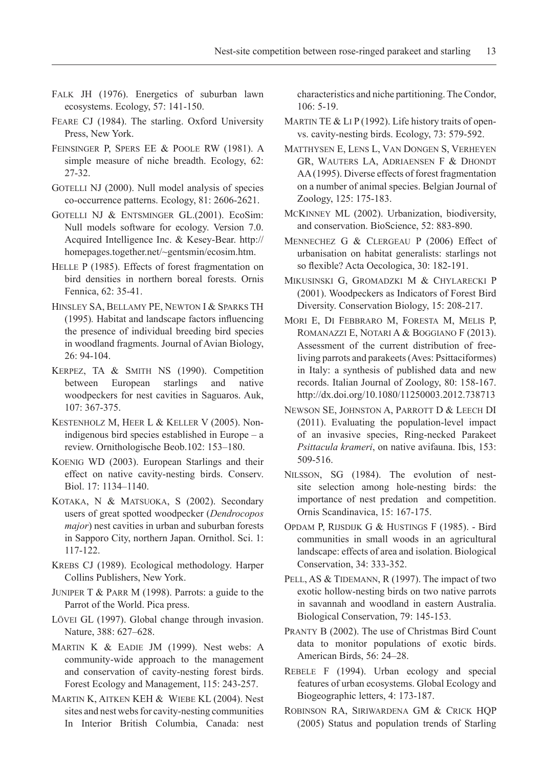- FALK JH (1976). Energetics of suburban lawn ecosystems. Ecology, 57: 141-150.
- Feare CJ (1984). The starling. Oxford University Press, New York.
- Feinsinger P, Spers EE & Poole RW (1981). A simple measure of niche breadth. Ecology, 62: 27-32.
- GOTELLI NJ (2000). Null model analysis of species co-occurrence patterns. Ecology, 81: 2606-2621.
- Gotelli NJ & Entsminger GL.(2001). EcoSim: Null models software for ecology. Version 7.0. Acquired Intelligence Inc. & Kesey-Bear. http:// homepages.together.net/~gentsmin/ecosim.htm.
- HELLE P (1985). Effects of forest fragmentation on bird densities in northern boreal forests. Ornis Fennica, 62: 35-41.
- Hinsley SA, Bellamy PE, Newton I & Sparks TH (1995)*.* Habitat and landscape factors influencing the presence of individual breeding bird species in woodland fragments. Journal of Avian Biology, 26: 94-104.
- Kerpez, TA & Smith NS (1990). Competition between European starlings and native woodpeckers for nest cavities in Saguaros. Auk, 107: 367-375.
- Kestenholz M, Heer L & Keller V (2005). Nonindigenous bird species established in Europe – a review. Ornithologische Beob.102: 153–180.
- Koenig WD (2003). European Starlings and their effect on native cavity-nesting birds. Conserv. Biol. 17: 1134–1140.
- KOTAKA, N & MATSUOKA, S (2002). Secondary users of great spotted woodpecker (*Dendrocopos major*) nest cavities in urban and suburban forests in Sapporo City, northern Japan. Ornithol. Sci. 1: 117-122.
- Krebs CJ (1989). Ecological methodology. Harper Collins Publishers, New York.
- Juniper T & Parr M (1998). Parrots: a guide to the Parrot of the World. Pica press.
- Lövei GL (1997). Global change through invasion. Nature, 388: 627–628.
- Martin K & Eadie JM (1999). Nest webs: A community-wide approach to the management and conservation of cavity-nesting forest birds. Forest Ecology and Management, 115: 243-257.
- Martin K, Aitken KEH & Wiebe KL (2004). Nest sites and nest webs for cavity-nesting communities In Interior British Columbia, Canada: nest

characteristics and niche partitioning. The Condor, 106: 5-19.

- MARTIN TE  $&$  LI P (1992). Life history traits of openvs. cavity-nesting birds. Ecology, 73: 579-592.
- Matthysen E, Lens L, Van Dongen S, Verheyen GR, Wauters LA, Adriaensen F & Dhondt AA (1995). Diverse effects of forest fragmentation on a number of animal species. Belgian Journal of Zoology, 125: 175-183.
- McKinney ML (2002). Urbanization, biodiversity, and conservation. BioScience, 52: 883-890.
- Mennechez G & Clergeau P (2006) Effect of urbanisation on habitat generalists: starlings not so flexible? Acta Oecologica, 30: 182-191.
- Mikusinski G, Gromadzki M & Chylarecki P (2001). Woodpeckers as Indicators of Forest Bird Diversity. Conservation Biology, 15: 208-217.
- Mori E, Di Febbraro M, Foresta M, Melis P, Romanazzi E, Notari A & Boggiano F (2013). Assessment of the current distribution of freeliving parrots and parakeets (Aves: Psittaciformes) in Italy: a synthesis of published data and new records. Italian Journal of Zoology, 80: 158-167. http://dx.doi.org/10.1080/11250003.2012.738713
- Newson SE, Johnston A, Parrott D & Leech DI (2011). Evaluating the population-level impact of an invasive species, Ring-necked Parakeet *Psittacula krameri*, on native avifauna. Ibis, 153: 509-516.
- Nilsson, SG (1984). The evolution of nestsite selection among hole-nesting birds: the importance of nest predation and competition. Ornis Scandinavica, 15: 167-175.
- Opdam P, Rijsdijk G & Hustings F (1985). Bird communities in small woods in an agricultural landscape: effects of area and isolation. Biological Conservation, 34: 333-352.
- PELL, AS & TIDEMANN, R (1997). The impact of two exotic hollow-nesting birds on two native parrots in savannah and woodland in eastern Australia. Biological Conservation, 79: 145-153.
- Pranty B (2002). The use of Christmas Bird Count data to monitor populations of exotic birds. American Birds, 56: 24–28.
- REBELE F (1994). Urban ecology and special features of urban ecosystems. Global Ecology and Biogeographic letters, 4: 173-187.
- Robinson RA, Siriwardena GM & Crick HQP (2005) Status and population trends of Starling